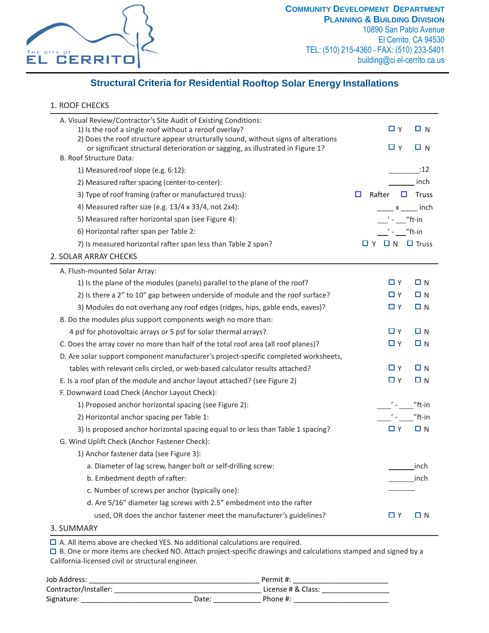

## **Structural Criteria for Residential Rooftop Solar Energy Installations**

## 1. ROOF CHECKS

| A. Visual Review/Contractor's Site Audit of Existing Conditions:<br>1) Is the roof a single roof without a reroof overlay? | $\Box$ Y                              | $\Box$ N     |
|----------------------------------------------------------------------------------------------------------------------------|---------------------------------------|--------------|
| 2) Does the roof structure appear structurally sound, without signs of alterations                                         | $\Box$ Y                              | $\Box$ N     |
| or significant structural deterioration or sagging, as illustrated in Figure 1?<br>B. Roof Structure Data:                 |                                       |              |
| 1) Measured roof slope (e.g. 6:12):                                                                                        |                                       | :12          |
| 2) Measured rafter spacing (center-to-center):                                                                             |                                       | inch         |
| 3) Type of roof framing (rafter or manufactured truss):                                                                    | Rafter<br>$\Box$<br>$\Box$            | <b>Truss</b> |
| 4) Measured rafter size (e.g. 13/4 x 33/4, not 2x4):                                                                       |                                       | x inch       |
| 5) Measured rafter horizontal span (see Figure 4):                                                                         | $'$ - $\_\$ "ft-in                    |              |
| 6) Horizontal rafter span per Table 2:                                                                                     | $'$ - $''$ ft-in                      |              |
| 7) Is measured horizontal rafter span less than Table 2 span?                                                              | $\Box$ $\Upsilon$ $\Box$ $\Box$ Truss |              |
| 2. SOLAR ARRAY CHECKS                                                                                                      |                                       |              |
| A. Flush-mounted Solar Array:                                                                                              |                                       |              |
| 1) Is the plane of the modules (panels) parallel to the plane of the roof?                                                 | ΩY                                    | $\Box$ N     |
| 2) Is there a 2" to 10" gap between underside of module and the roof surface?                                              | □Υ                                    | $\Box$ N     |
| 3) Modules do not overhang any roof edges (ridges, hips, gable ends, eaves)?                                               | ΠY                                    | $\Box$ N     |
| B. Do the modules plus support components weigh no more than:                                                              |                                       |              |
| 4 psf for photovoltaic arrays or 5 psf for solar thermal arrays?                                                           | □Υ                                    | $\Box$ N     |
| C. Does the array cover no more than half of the total roof area (all roof planes)?                                        | ΠY                                    | $\Box N$     |
| D. Are solar support component manufacturer's project-specific completed worksheets,                                       |                                       |              |
| tables with relevant cells circled, or web-based calculator results attached?                                              | □ ⋎                                   | $\Box$ N     |
| E. Is a roof plan of the module and anchor layout attached? (see Figure 2)                                                 | Пγ                                    | $\Box$ N     |
| F. Downward Load Check (Anchor Layout Check):                                                                              |                                       |              |
| 1) Proposed anchor horizontal spacing (see Figure 2):                                                                      | $\mathcal{L}$ - $\mathcal{L}$         | "ft-in       |
| 2) Horizontal anchor spacing per Table 1:                                                                                  | $\mathcal{F}_{\mathbf{m}}$            | "ft-in       |
| 3) Is proposed anchor horizontal spacing equal to or less than Table 1 spacing?                                            | □Υ                                    | $\Box$ N     |
| G. Wind Uplift Check (Anchor Fastener Check):                                                                              |                                       |              |
| 1) Anchor fastener data (see Figure 3):                                                                                    |                                       |              |
| a. Diameter of lag screw, hanger bolt or self-drilling screw:                                                              |                                       | inch         |
| b. Embedment depth of rafter:                                                                                              |                                       | inch         |
| c. Number of screws per anchor (typically one):                                                                            |                                       |              |
| d. Are 5/16" diameter lag screws with 2.5" embedment into the rafter                                                       |                                       |              |
| used, OR does the anchor fastener meet the manufacturer's guidelines?                                                      | ΠY                                    | $\Box$ N     |
|                                                                                                                            |                                       |              |

3. SUMMARY

A. All items above are checked YES. No additional calculations are required.

B. One or more items are checked NO. Attach project-specific drawings and calculations stamped and signed by a California-licensed civil or structural engineer.

| Job Address:          | Permit #: |                    |  |
|-----------------------|-----------|--------------------|--|
| Contractor/Installer: |           | License # & Class: |  |
| Signature:            | Date:     | Phone #:           |  |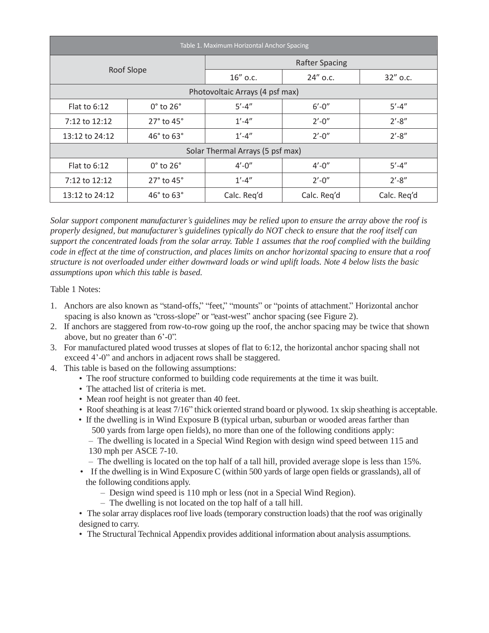| Table 1. Maximum Horizontal Anchor Spacing |                              |                       |             |             |  |  |
|--------------------------------------------|------------------------------|-----------------------|-------------|-------------|--|--|
|                                            |                              | <b>Rafter Spacing</b> |             |             |  |  |
|                                            | Roof Slope                   | 16" o.c.              | 24" o.c.    | 32" o.c.    |  |  |
| Photovoltaic Arrays (4 psf max)            |                              |                       |             |             |  |  |
| Flat to $6:12$                             | $0^\circ$ to $26^\circ$      | $5' - 4''$            | $6' - 0''$  | $5' - 4''$  |  |  |
| 7:12 to 12:12                              | 27° to 45°                   | $1' - 4''$            | $2'-0''$    | $2' - 8''$  |  |  |
| 13:12 to 24:12                             | $46^{\circ}$ to $63^{\circ}$ |                       | $2' - 0''$  | $2' - 8''$  |  |  |
| Solar Thermal Arrays (5 psf max)           |                              |                       |             |             |  |  |
| Flat to $6:12$                             | $0^\circ$ to $26^\circ$      | $4' - 0''$            | $4' - 0''$  | $5' - 4''$  |  |  |
| 7:12 to 12:12                              | 27° to 45°                   | $1' - 4''$            | $2' - 0''$  | $2' - 8''$  |  |  |
| 13:12 to 24:12                             | $46^{\circ}$ to $63^{\circ}$ |                       | Calc. Reg'd | Calc. Req'd |  |  |

*Solar support component manufacturer's guidelines may be relied upon to ensure the array above the roof is properly designed, but manufacturer's guidelines typically do NOT check to ensure that the roof itself can support the concentrated loads from the solar array. Table 1 assumes that the roof complied with the building code in effect at the time of construction, and places limits on anchor horizontal spacing to ensure that a roof structure is not overloaded under either downward loads or wind uplift loads. Note 4 below lists the basic assumptions upon which this table is based.*

Table 1 Notes:

- 1. Anchors are also known as "stand-offs," "feet," "mounts" or "points of attachment." Horizontal anchor spacing is also known as "cross-slope" or "east-west" anchor spacing (see Figure 2).
- 2. If anchors are staggered from row-to-row going up the roof, the anchor spacing may be twice that shown above, but no greater than 6'-0".
- 3. For manufactured plated wood trusses at slopes of flat to 6:12, the horizontal anchor spacing shall not exceed 4'-0" and anchors in adjacent rows shall be staggered.
- 4. This table is based on the following assumptions:
	- The roof structure conformed to building code requirements at the time it was built.
	- The attached list of criteria is met.
	- Mean roof height is not greater than 40 feet.
	- Roof sheathing is at least 7/16" thick oriented strand board or plywood. 1x skip sheathing is acceptable.
	- If the dwelling is in Wind Exposure B (typical urban, suburban or wooded areas farther than 500 yards from large open fields), no more than one of the following conditions apply:
		- The dwelling is located in a Special Wind Region with design wind speed between 115 and 130 mph per ASCE 7-10.
		- The dwelling is located on the top half of a tall hill, provided average slope is less than 15%.
	- If the dwelling is in Wind Exposure C (within 500 yards of large open fields or grasslands), all of the following conditions apply.
		- Design wind speed is 110 mph or less (not in a Special Wind Region).
		- The dwelling is not located on the top half of a tall hill.
	- The solar array displaces roof live loads (temporary construction loads) that the roof was originally designed to carry.
	- The Structural Technical Appendix provides additional information about analysis assumptions.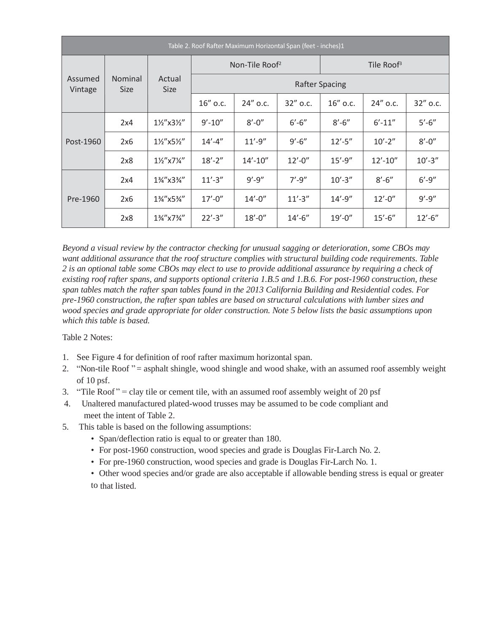| Table 2. Roof Rafter Maximum Horizontal Span (feet - inches)1 |                        |                       |                            |              |                        |             |              |             |  |
|---------------------------------------------------------------|------------------------|-----------------------|----------------------------|--------------|------------------------|-------------|--------------|-------------|--|
|                                                               |                        |                       | Non-Tile Roof <sup>2</sup> |              | Tile Roof <sup>3</sup> |             |              |             |  |
| Assumed<br>Vintage                                            | Nominal<br><b>Size</b> | Actual<br><b>Size</b> | <b>Rafter Spacing</b>      |              |                        |             |              |             |  |
|                                                               |                        |                       | 16" o.c.                   | 24" o.c.     | 32" o.c.               | 16" o.c.    | 24" o.c.     | 32" o.c.    |  |
|                                                               | 2x4                    | 11/2"x31/2"           | $9' - 10''$                | $8' - 0''$   | $6' - 6''$             | $8' - 6''$  | $6' - 11''$  | $5'-6''$    |  |
| Post-1960                                                     | 2x6                    | 11/2"x51/2"           | $14' - 4''$                | $11' - 9''$  | $9' - 6''$             | $12' - 5''$ | $10'-2''$    | $8' - 0''$  |  |
|                                                               | 2x8                    | 11/2" x 71/4"         | $18' - 2''$                | $14' - 10''$ | $12' - 0''$            | $15' - 9''$ | $12' - 10''$ | $10' - 3''$ |  |
|                                                               | 2x4                    | 1%"x3%"               | $11'-3''$                  | $9' - 9''$   | $7' - 9''$             | $10' - 3''$ | $8' - 6''$   | $6' - 9''$  |  |
| Pre-1960                                                      | 2x6                    | 1%"x5%"               | $17' - 0''$                | $14' - 0''$  | $11' - 3''$            | $14' - 9''$ | $12' - 0''$  | $9' - 9''$  |  |
|                                                               | 2x8                    | 1%"x7%"               | $22' - 3''$                | $18' - 0''$  | $14' - 6''$            | $19' - 0''$ | $15' - 6''$  | $12' - 6''$ |  |

*Beyond a visual review by the contractor checking for unusual sagging or deterioration, some CBOs may want additional assurance that the roof structure complies with structural building code requirements. Table 2 is an optional table some CBOs may elect to use to provide additional assurance by requiring a check of existing roof rafter spans, and supports optional criteria 1.B.5 and 1.B.6. For post-1960 construction, these span tables match the rafter span tables found in the 2013 California Building and Residential codes. For pre-1960 construction, the rafter span tables are based on structural calculations with lumber sizes and wood species and grade appropriate for older construction. Note 5 below lists the basic assumptions upon which this table is based.*

Table 2 Notes:

- 1. See Figure 4 for definition of roof rafter maximum horizontal span.
- 2. "Non-tile Roof" = asphalt shingle, wood shingle and wood shake, with an assumed roof assembly weight of 10 psf.
- 3. "Tile Roof " = clay tile or cement tile, with an assumed roof assembly weight of 20 psf
- 4. Unaltered manufactured plated-wood trusses may be assumed to be code compliant and meet the intent of Table 2.
- 5. This table is based on the following assumptions:
	- Span/deflection ratio is equal to or greater than 180.
	- For post-1960 construction, wood species and grade is Douglas Fir-Larch No. 2.
	- For pre-1960 construction, wood species and grade is Douglas Fir-Larch No. 1.
	- Other wood species and/or grade are also acceptable if allowable bending stress is equal or greater to that listed.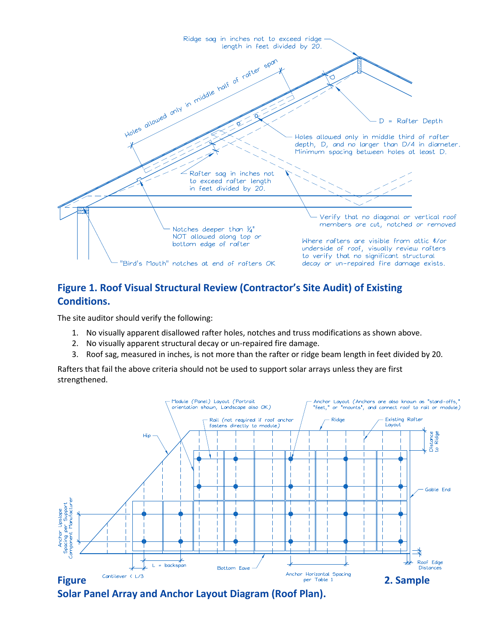

## **Figure 1. Roof Visual Structural Review (Contractor's Site Audit) of Existing Conditions.**

The site auditor should verify the following:

- 1. No visually apparent disallowed rafter holes, notches and truss modifications as shown above.
- 2. No visually apparent structural decay or un-repaired fire damage.
- 3. Roof sag, measured in inches, is not more than the rafter or ridge beam length in feet divided by 20.

Rafters that fail the above criteria should not be used to support solar arrays unless they are first strengthened.



**Solar Panel Array and Anchor Layout Diagram (Roof Plan).**